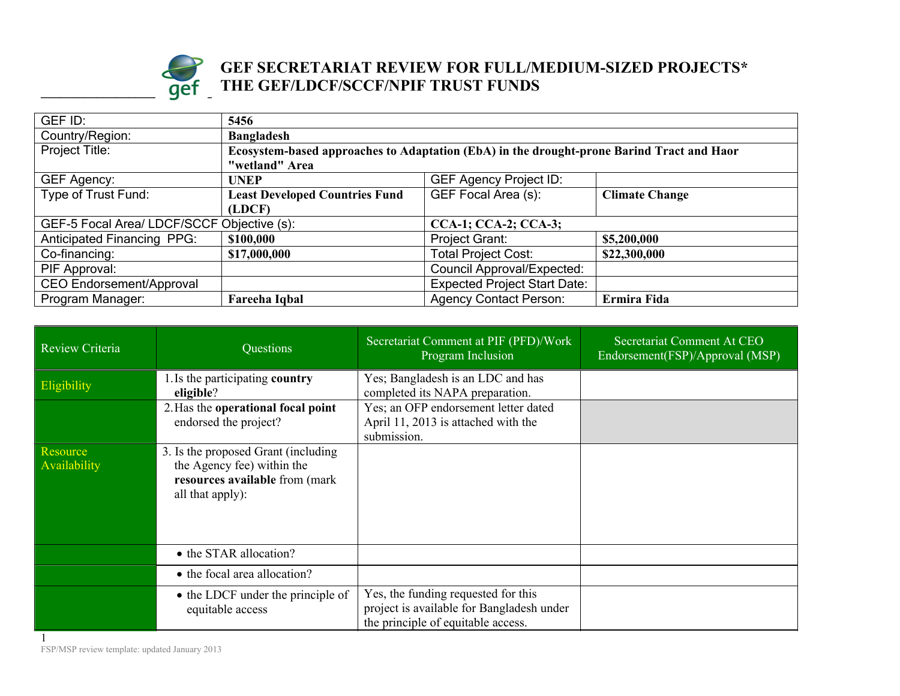

## **Example 1 Individually set of the set of the set of the set of the set of the set of the set of the set of the set of the set of the set of the set of the set of the set of the set of the set of the set of the set of the GEF SECRETARIAT REVIEW FOR FULL/MEDIUM-SIZED PROJECTS\* THE GEF/LDCF/SCCF/NPIF TRUST FUNDS**

| GEF ID:                                                                   | 5456                                                                                      |                                     |                       |
|---------------------------------------------------------------------------|-------------------------------------------------------------------------------------------|-------------------------------------|-----------------------|
| Country/Region:                                                           | <b>Bangladesh</b>                                                                         |                                     |                       |
| Project Title:                                                            | Ecosystem-based approaches to Adaptation (EbA) in the drought-prone Barind Tract and Haor |                                     |                       |
|                                                                           | "wetland" Area                                                                            |                                     |                       |
| GEF Agency:                                                               | <b>UNEP</b>                                                                               | <b>GEF Agency Project ID:</b>       |                       |
| Type of Trust Fund:                                                       | <b>Least Developed Countries Fund</b>                                                     | GEF Focal Area (s):                 | <b>Climate Change</b> |
|                                                                           | (LDCF)                                                                                    |                                     |                       |
| GEF-5 Focal Area/ LDCF/SCCF Objective (s):<br><b>CCA-1; CCA-2; CCA-3;</b> |                                                                                           |                                     |                       |
| <b>Anticipated Financing PPG:</b>                                         | \$100,000                                                                                 | <b>Project Grant:</b>               | \$5,200,000           |
| Co-financing:                                                             | \$17,000,000                                                                              | <b>Total Project Cost:</b>          | \$22,300,000          |
| PIF Approval:                                                             |                                                                                           | Council Approval/Expected:          |                       |
| <b>CEO Endorsement/Approval</b>                                           |                                                                                           | <b>Expected Project Start Date:</b> |                       |
| Program Manager:                                                          | Fareeha Iqbal                                                                             | <b>Agency Contact Person:</b>       | Ermira Fida           |

| Review Criteria                 | Questions                                                                                                                | Secretariat Comment at PIF (PFD)/Work<br>Program Inclusion                                                             | Secretariat Comment At CEO<br>Endorsement(FSP)/Approval (MSP) |
|---------------------------------|--------------------------------------------------------------------------------------------------------------------------|------------------------------------------------------------------------------------------------------------------------|---------------------------------------------------------------|
| Eligibility                     | 1. Is the participating country<br>eligible?                                                                             | Yes; Bangladesh is an LDC and has<br>completed its NAPA preparation.                                                   |                                                               |
|                                 | 2. Has the operational focal point<br>endorsed the project?                                                              | Yes; an OFP endorsement letter dated<br>April 11, 2013 is attached with the<br>submission.                             |                                                               |
| <b>Resource</b><br>Availability | 3. Is the proposed Grant (including)<br>the Agency fee) within the<br>resources available from (mark<br>all that apply): |                                                                                                                        |                                                               |
|                                 | • the STAR allocation?                                                                                                   |                                                                                                                        |                                                               |
|                                 | • the focal area allocation?                                                                                             |                                                                                                                        |                                                               |
|                                 | • the LDCF under the principle of<br>equitable access                                                                    | Yes, the funding requested for this<br>project is available for Bangladesh under<br>the principle of equitable access. |                                                               |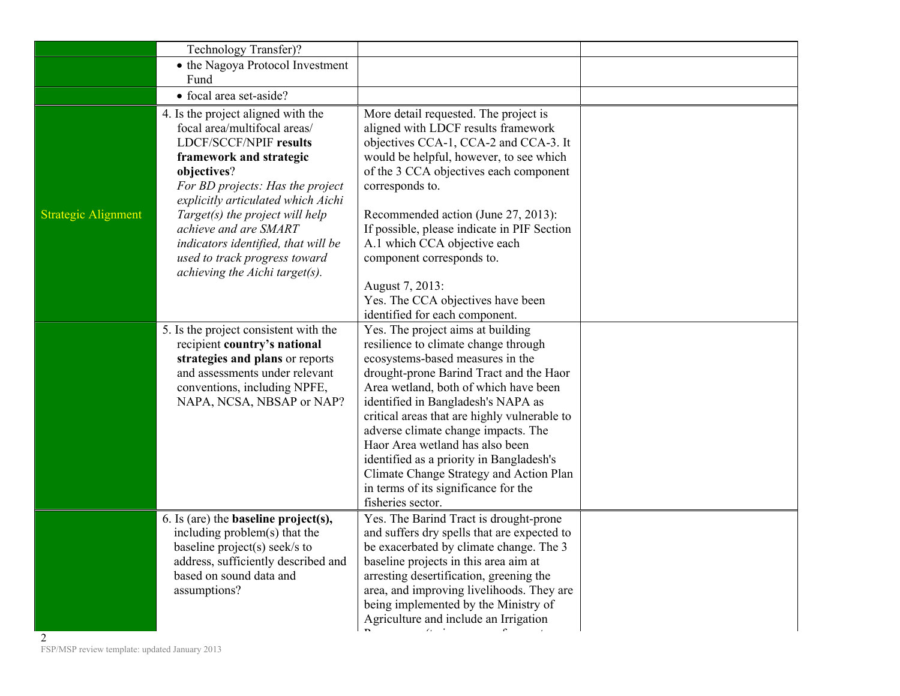|                            | Technology Transfer)?                                                                                                                                                                                                                                                                                                                                                                         |                                                                                                                                                                                                                                                                                                                                                                                                                                                                                                                       |  |
|----------------------------|-----------------------------------------------------------------------------------------------------------------------------------------------------------------------------------------------------------------------------------------------------------------------------------------------------------------------------------------------------------------------------------------------|-----------------------------------------------------------------------------------------------------------------------------------------------------------------------------------------------------------------------------------------------------------------------------------------------------------------------------------------------------------------------------------------------------------------------------------------------------------------------------------------------------------------------|--|
|                            | • the Nagoya Protocol Investment                                                                                                                                                                                                                                                                                                                                                              |                                                                                                                                                                                                                                                                                                                                                                                                                                                                                                                       |  |
|                            | Fund                                                                                                                                                                                                                                                                                                                                                                                          |                                                                                                                                                                                                                                                                                                                                                                                                                                                                                                                       |  |
|                            | • focal area set-aside?                                                                                                                                                                                                                                                                                                                                                                       |                                                                                                                                                                                                                                                                                                                                                                                                                                                                                                                       |  |
| <b>Strategic Alignment</b> | 4. Is the project aligned with the<br>focal area/multifocal areas/<br><b>LDCF/SCCF/NPIF results</b><br>framework and strategic<br>objectives?<br>For BD projects: Has the project<br>explicitly articulated which Aichi<br>Target(s) the project will help<br>achieve and are SMART<br>indicators identified, that will be<br>used to track progress toward<br>achieving the Aichi target(s). | More detail requested. The project is<br>aligned with LDCF results framework<br>objectives CCA-1, CCA-2 and CCA-3. It<br>would be helpful, however, to see which<br>of the 3 CCA objectives each component<br>corresponds to.<br>Recommended action (June 27, 2013):<br>If possible, please indicate in PIF Section<br>A.1 which CCA objective each<br>component corresponds to.<br>August 7, 2013:                                                                                                                   |  |
|                            |                                                                                                                                                                                                                                                                                                                                                                                               | Yes. The CCA objectives have been<br>identified for each component.                                                                                                                                                                                                                                                                                                                                                                                                                                                   |  |
|                            | 5. Is the project consistent with the<br>recipient country's national<br>strategies and plans or reports<br>and assessments under relevant<br>conventions, including NPFE,<br>NAPA, NCSA, NBSAP or NAP?                                                                                                                                                                                       | Yes. The project aims at building<br>resilience to climate change through<br>ecosystems-based measures in the<br>drought-prone Barind Tract and the Haor<br>Area wetland, both of which have been<br>identified in Bangladesh's NAPA as<br>critical areas that are highly vulnerable to<br>adverse climate change impacts. The<br>Haor Area wetland has also been<br>identified as a priority in Bangladesh's<br>Climate Change Strategy and Action Plan<br>in terms of its significance for the<br>fisheries sector. |  |
|                            | 6. Is (are) the <b>baseline</b> $project(s)$ ,<br>including problem(s) that the<br>baseline project(s) seek/s to<br>address, sufficiently described and<br>based on sound data and<br>assumptions?                                                                                                                                                                                            | Yes. The Barind Tract is drought-prone<br>and suffers dry spells that are expected to<br>be exacerbated by climate change. The 3<br>baseline projects in this area aim at<br>arresting desertification, greening the<br>area, and improving livelihoods. They are<br>being implemented by the Ministry of<br>Agriculture and include an Irrigation                                                                                                                                                                    |  |
|                            |                                                                                                                                                                                                                                                                                                                                                                                               |                                                                                                                                                                                                                                                                                                                                                                                                                                                                                                                       |  |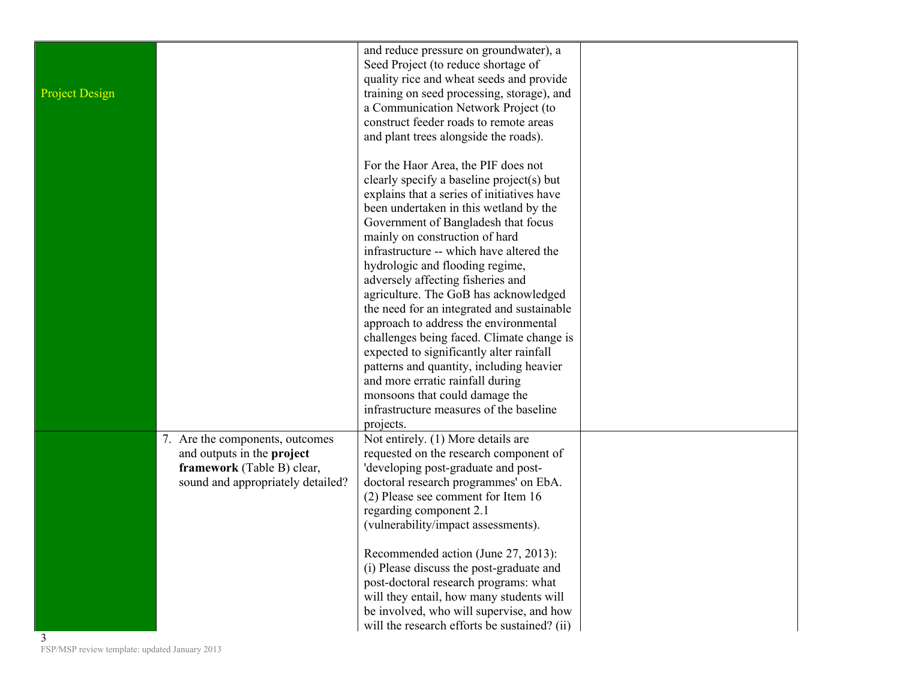| <b>Project Design</b> |                                                                                                                                  | and reduce pressure on groundwater), a<br>Seed Project (to reduce shortage of<br>quality rice and wheat seeds and provide<br>training on seed processing, storage), and<br>a Communication Network Project (to<br>construct feeder roads to remote areas<br>and plant trees alongside the roads).                                          |  |
|-----------------------|----------------------------------------------------------------------------------------------------------------------------------|--------------------------------------------------------------------------------------------------------------------------------------------------------------------------------------------------------------------------------------------------------------------------------------------------------------------------------------------|--|
|                       |                                                                                                                                  | For the Haor Area, the PIF does not<br>clearly specify a baseline project(s) but<br>explains that a series of initiatives have<br>been undertaken in this wetland by the<br>Government of Bangladesh that focus<br>mainly on construction of hard<br>infrastructure -- which have altered the<br>hydrologic and flooding regime,           |  |
|                       |                                                                                                                                  | adversely affecting fisheries and<br>agriculture. The GoB has acknowledged<br>the need for an integrated and sustainable<br>approach to address the environmental<br>challenges being faced. Climate change is<br>expected to significantly alter rainfall<br>patterns and quantity, including heavier<br>and more erratic rainfall during |  |
|                       |                                                                                                                                  | monsoons that could damage the<br>infrastructure measures of the baseline<br>projects.                                                                                                                                                                                                                                                     |  |
|                       | 7. Are the components, outcomes<br>and outputs in the project<br>framework (Table B) clear,<br>sound and appropriately detailed? | Not entirely. (1) More details are<br>requested on the research component of<br>'developing post-graduate and post-<br>doctoral research programmes' on EbA.<br>(2) Please see comment for Item 16<br>regarding component 2.1<br>(vulnerability/impact assessments).                                                                       |  |
| 3                     |                                                                                                                                  | Recommended action (June 27, 2013):<br>(i) Please discuss the post-graduate and<br>post-doctoral research programs: what<br>will they entail, how many students will<br>be involved, who will supervise, and how<br>will the research efforts be sustained? (ii)                                                                           |  |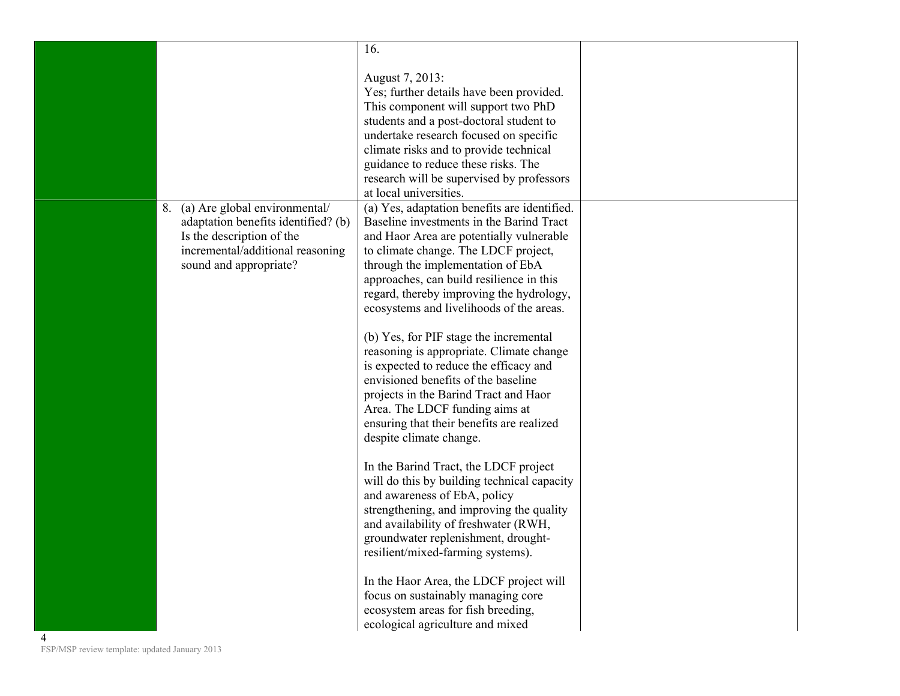|                                                    |                                                                                                                                                                       | 16.                                                                                                                                                                                                                                                                                                                                                                                                                                                                                                                                                                                                                                                                                                                                                                                                                                                                                                                                                                                                                                                      |  |
|----------------------------------------------------|-----------------------------------------------------------------------------------------------------------------------------------------------------------------------|----------------------------------------------------------------------------------------------------------------------------------------------------------------------------------------------------------------------------------------------------------------------------------------------------------------------------------------------------------------------------------------------------------------------------------------------------------------------------------------------------------------------------------------------------------------------------------------------------------------------------------------------------------------------------------------------------------------------------------------------------------------------------------------------------------------------------------------------------------------------------------------------------------------------------------------------------------------------------------------------------------------------------------------------------------|--|
|                                                    |                                                                                                                                                                       | August 7, 2013:<br>Yes; further details have been provided.<br>This component will support two PhD<br>students and a post-doctoral student to<br>undertake research focused on specific<br>climate risks and to provide technical<br>guidance to reduce these risks. The<br>research will be supervised by professors<br>at local universities.                                                                                                                                                                                                                                                                                                                                                                                                                                                                                                                                                                                                                                                                                                          |  |
|                                                    | (a) Are global environmental/<br>8.<br>adaptation benefits identified? (b)<br>Is the description of the<br>incremental/additional reasoning<br>sound and appropriate? | (a) Yes, adaptation benefits are identified.<br>Baseline investments in the Barind Tract<br>and Haor Area are potentially vulnerable<br>to climate change. The LDCF project,<br>through the implementation of EbA<br>approaches, can build resilience in this<br>regard, thereby improving the hydrology,<br>ecosystems and livelihoods of the areas.<br>(b) Yes, for PIF stage the incremental<br>reasoning is appropriate. Climate change<br>is expected to reduce the efficacy and<br>envisioned benefits of the baseline<br>projects in the Barind Tract and Haor<br>Area. The LDCF funding aims at<br>ensuring that their benefits are realized<br>despite climate change.<br>In the Barind Tract, the LDCF project<br>will do this by building technical capacity<br>and awareness of EbA, policy<br>strengthening, and improving the quality<br>and availability of freshwater (RWH,<br>groundwater replenishment, drought-<br>resilient/mixed-farming systems).<br>In the Haor Area, the LDCF project will<br>focus on sustainably managing core |  |
| 4<br>FSP/MSP review template: updated January 2013 |                                                                                                                                                                       | ecosystem areas for fish breeding,<br>ecological agriculture and mixed                                                                                                                                                                                                                                                                                                                                                                                                                                                                                                                                                                                                                                                                                                                                                                                                                                                                                                                                                                                   |  |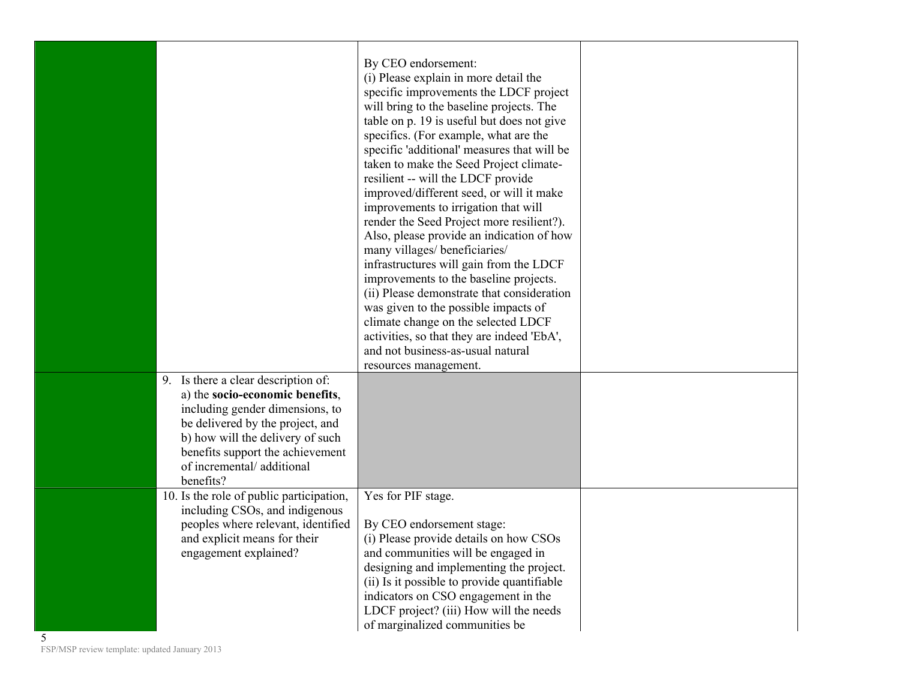|   |                                                                                                                                                                                                                                                                 | By CEO endorsement:<br>(i) Please explain in more detail the<br>specific improvements the LDCF project<br>will bring to the baseline projects. The<br>table on p. 19 is useful but does not give<br>specifics. (For example, what are the<br>specific 'additional' measures that will be<br>taken to make the Seed Project climate-<br>resilient -- will the LDCF provide<br>improved/different seed, or will it make<br>improvements to irrigation that will<br>render the Seed Project more resilient?).<br>Also, please provide an indication of how<br>many villages/ beneficiaries/<br>infrastructures will gain from the LDCF<br>improvements to the baseline projects.<br>(ii) Please demonstrate that consideration<br>was given to the possible impacts of<br>climate change on the selected LDCF<br>activities, so that they are indeed 'EbA',<br>and not business-as-usual natural<br>resources management. |  |
|---|-----------------------------------------------------------------------------------------------------------------------------------------------------------------------------------------------------------------------------------------------------------------|------------------------------------------------------------------------------------------------------------------------------------------------------------------------------------------------------------------------------------------------------------------------------------------------------------------------------------------------------------------------------------------------------------------------------------------------------------------------------------------------------------------------------------------------------------------------------------------------------------------------------------------------------------------------------------------------------------------------------------------------------------------------------------------------------------------------------------------------------------------------------------------------------------------------|--|
|   | 9. Is there a clear description of:<br>a) the socio-economic benefits,<br>including gender dimensions, to<br>be delivered by the project, and<br>b) how will the delivery of such<br>benefits support the achievement<br>of incremental/additional<br>benefits? |                                                                                                                                                                                                                                                                                                                                                                                                                                                                                                                                                                                                                                                                                                                                                                                                                                                                                                                        |  |
| 5 | 10. Is the role of public participation,<br>including CSOs, and indigenous<br>peoples where relevant, identified<br>and explicit means for their<br>engagement explained?                                                                                       | Yes for PIF stage.<br>By CEO endorsement stage:<br>(i) Please provide details on how CSOs<br>and communities will be engaged in<br>designing and implementing the project.<br>(ii) Is it possible to provide quantifiable<br>indicators on CSO engagement in the<br>LDCF project? (iii) How will the needs<br>of marginalized communities be                                                                                                                                                                                                                                                                                                                                                                                                                                                                                                                                                                           |  |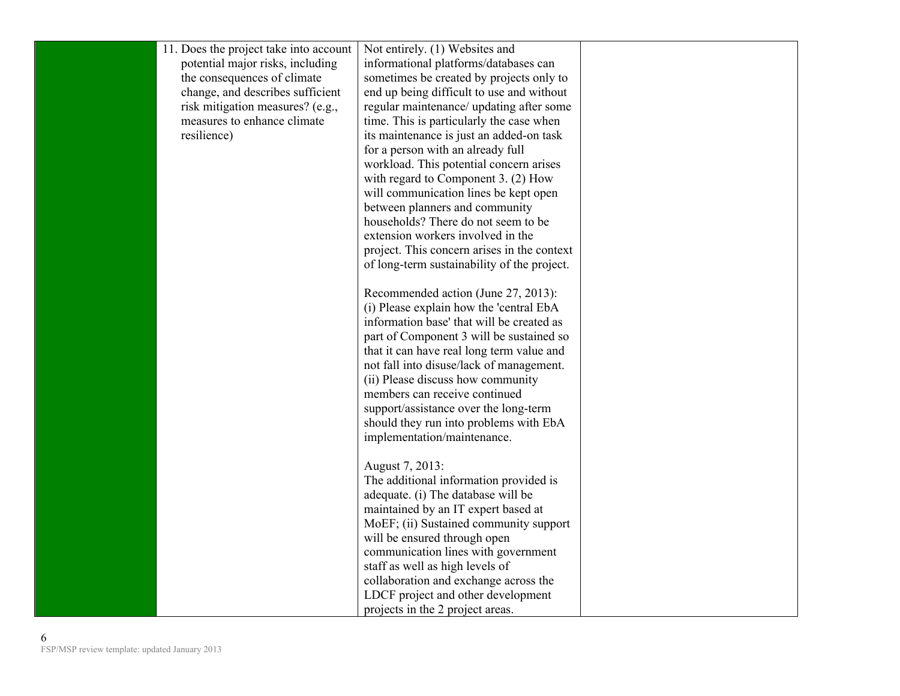| 11. Does the project take into account | Not entirely. (1) Websites and              |  |
|----------------------------------------|---------------------------------------------|--|
| potential major risks, including       | informational platforms/databases can       |  |
| the consequences of climate            | sometimes be created by projects only to    |  |
| change, and describes sufficient       | end up being difficult to use and without   |  |
| risk mitigation measures? (e.g.,       | regular maintenance/ updating after some    |  |
| measures to enhance climate            | time. This is particularly the case when    |  |
| resilience)                            | its maintenance is just an added-on task    |  |
|                                        | for a person with an already full           |  |
|                                        | workload. This potential concern arises     |  |
|                                        | with regard to Component 3. (2) How         |  |
|                                        | will communication lines be kept open       |  |
|                                        | between planners and community              |  |
|                                        | households? There do not seem to be         |  |
|                                        | extension workers involved in the           |  |
|                                        | project. This concern arises in the context |  |
|                                        | of long-term sustainability of the project. |  |
|                                        |                                             |  |
|                                        | Recommended action (June 27, 2013):         |  |
|                                        | (i) Please explain how the 'central EbA     |  |
|                                        | information base' that will be created as   |  |
|                                        | part of Component 3 will be sustained so    |  |
|                                        | that it can have real long term value and   |  |
|                                        | not fall into disuse/lack of management.    |  |
|                                        | (ii) Please discuss how community           |  |
|                                        | members can receive continued               |  |
|                                        | support/assistance over the long-term       |  |
|                                        | should they run into problems with EbA      |  |
|                                        | implementation/maintenance.                 |  |
|                                        |                                             |  |
|                                        | August 7, 2013:                             |  |
|                                        | The additional information provided is      |  |
|                                        | adequate. (i) The database will be          |  |
|                                        | maintained by an IT expert based at         |  |
|                                        | MoEF; (ii) Sustained community support      |  |
|                                        | will be ensured through open                |  |
|                                        | communication lines with government         |  |
|                                        | staff as well as high levels of             |  |
|                                        | collaboration and exchange across the       |  |
|                                        | LDCF project and other development          |  |
|                                        | projects in the 2 project areas.            |  |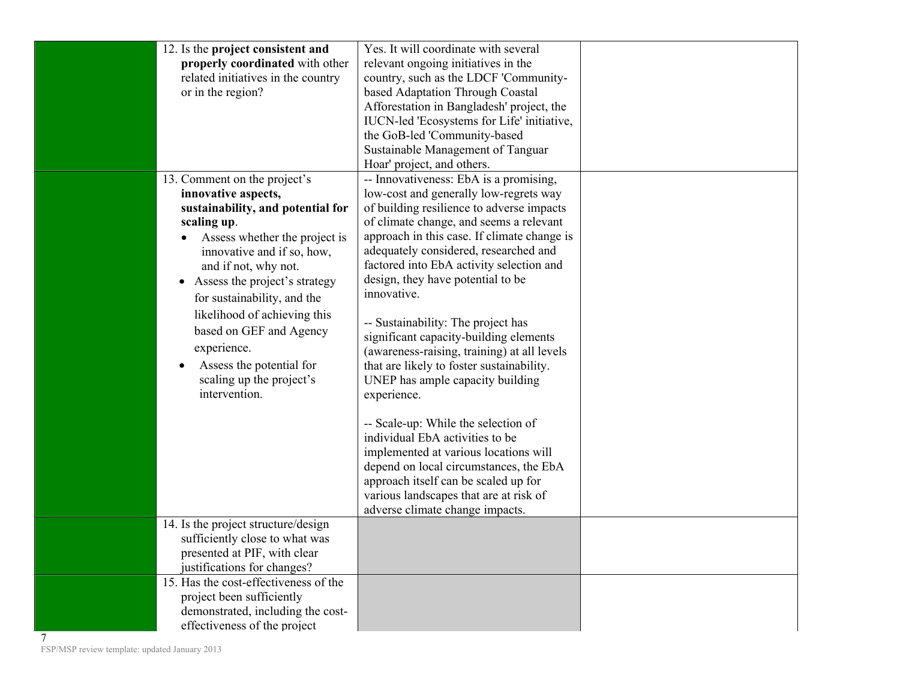| 12. Is the project consistent and<br>properly coordinated with other | Yes. It will coordinate with several<br>relevant ongoing initiatives in the   |  |
|----------------------------------------------------------------------|-------------------------------------------------------------------------------|--|
| related initiatives in the country<br>or in the region?              | country, such as the LDCF 'Community-<br>based Adaptation Through Coastal     |  |
|                                                                      | Afforestation in Bangladesh' project, the                                     |  |
|                                                                      | IUCN-led 'Ecosystems for Life' initiative,                                    |  |
|                                                                      | the GoB-led 'Community-based                                                  |  |
|                                                                      | Sustainable Management of Tanguar                                             |  |
|                                                                      | Hoar' project, and others.<br>-- Innovativeness: EbA is a promising,          |  |
| 13. Comment on the project's<br>innovative aspects,                  | low-cost and generally low-regrets way                                        |  |
| sustainability, and potential for                                    | of building resilience to adverse impacts                                     |  |
| scaling up.                                                          | of climate change, and seems a relevant                                       |  |
| Assess whether the project is                                        | approach in this case. If climate change is                                   |  |
| innovative and if so, how,                                           | adequately considered, researched and                                         |  |
| and if not, why not.                                                 | factored into EbA activity selection and                                      |  |
| • Assess the project's strategy                                      | design, they have potential to be                                             |  |
| for sustainability, and the                                          | innovative.                                                                   |  |
| likelihood of achieving this<br>based on GEF and Agency              | -- Sustainability: The project has                                            |  |
| experience.                                                          | significant capacity-building elements                                        |  |
| Assess the potential for                                             | (awareness-raising, training) at all levels                                   |  |
| scaling up the project's                                             | that are likely to foster sustainability.<br>UNEP has ample capacity building |  |
| intervention.                                                        | experience.                                                                   |  |
|                                                                      |                                                                               |  |
|                                                                      | -- Scale-up: While the selection of                                           |  |
|                                                                      | individual EbA activities to be                                               |  |
|                                                                      | implemented at various locations will                                         |  |
|                                                                      | depend on local circumstances, the EbA                                        |  |
|                                                                      | approach itself can be scaled up for                                          |  |
|                                                                      | various landscapes that are at risk of<br>adverse climate change impacts.     |  |
| 14. Is the project structure/design                                  |                                                                               |  |
| sufficiently close to what was                                       |                                                                               |  |
| presented at PIF, with clear                                         |                                                                               |  |
| justifications for changes?                                          |                                                                               |  |
| 15. Has the cost-effectiveness of the                                |                                                                               |  |
| project been sufficiently                                            |                                                                               |  |
| demonstrated, including the cost-                                    |                                                                               |  |
| effectiveness of the project                                         |                                                                               |  |

7 FSP/MSP review template: updated January 2013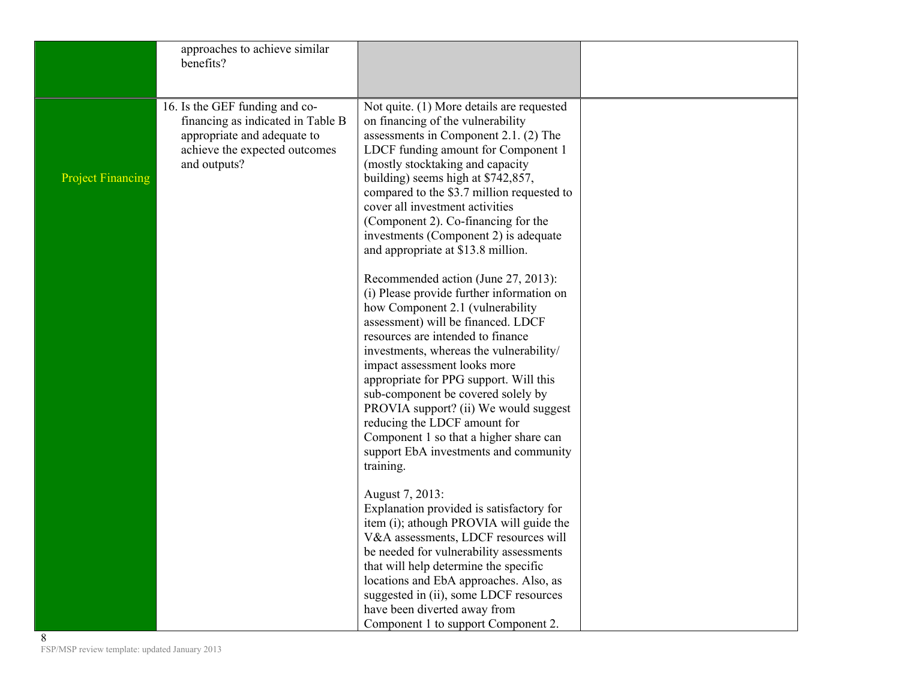|                          | approaches to achieve similar<br>benefits?                                                                                                          |                                                                                                                                                                                                                                                                                                                                                                                                                                                                                                                                     |  |
|--------------------------|-----------------------------------------------------------------------------------------------------------------------------------------------------|-------------------------------------------------------------------------------------------------------------------------------------------------------------------------------------------------------------------------------------------------------------------------------------------------------------------------------------------------------------------------------------------------------------------------------------------------------------------------------------------------------------------------------------|--|
| <b>Project Financing</b> | 16. Is the GEF funding and co-<br>financing as indicated in Table B<br>appropriate and adequate to<br>achieve the expected outcomes<br>and outputs? | Not quite. (1) More details are requested<br>on financing of the vulnerability<br>assessments in Component 2.1. (2) The<br>LDCF funding amount for Component 1<br>(mostly stocktaking and capacity<br>building) seems high at \$742,857,<br>compared to the \$3.7 million requested to<br>cover all investment activities<br>(Component 2). Co-financing for the<br>investments (Component 2) is adequate<br>and appropriate at \$13.8 million.                                                                                     |  |
|                          |                                                                                                                                                     | Recommended action (June 27, 2013):<br>(i) Please provide further information on<br>how Component 2.1 (vulnerability<br>assessment) will be financed. LDCF<br>resources are intended to finance<br>investments, whereas the vulnerability/<br>impact assessment looks more<br>appropriate for PPG support. Will this<br>sub-component be covered solely by<br>PROVIA support? (ii) We would suggest<br>reducing the LDCF amount for<br>Component 1 so that a higher share can<br>support EbA investments and community<br>training. |  |
|                          |                                                                                                                                                     | August 7, 2013:<br>Explanation provided is satisfactory for<br>item (i); athough PROVIA will guide the<br>V&A assessments, LDCF resources will<br>be needed for vulnerability assessments<br>that will help determine the specific<br>locations and EbA approaches. Also, as<br>suggested in (ii), some LDCF resources<br>have been diverted away from<br>Component 1 to support Component 2.                                                                                                                                       |  |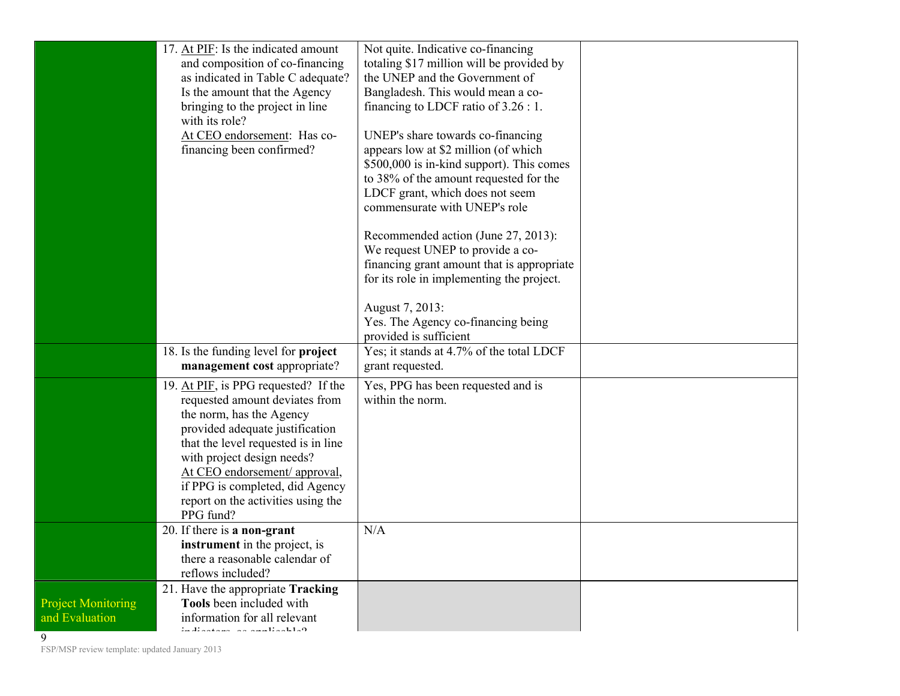|                                             | 17. At PIF: Is the indicated amount<br>and composition of co-financing<br>as indicated in Table C adequate?<br>Is the amount that the Agency<br>bringing to the project in line<br>with its role?<br>At CEO endorsement: Has co-<br>financing been confirmed?                                                                     | Not quite. Indicative co-financing<br>totaling \$17 million will be provided by<br>the UNEP and the Government of<br>Bangladesh. This would mean a co-<br>financing to LDCF ratio of $3.26:1$ .<br>UNEP's share towards co-financing<br>appears low at \$2 million (of which<br>\$500,000 is in-kind support). This comes<br>to 38% of the amount requested for the<br>LDCF grant, which does not seem<br>commensurate with UNEP's role<br>Recommended action (June 27, 2013):<br>We request UNEP to provide a co- |  |
|---------------------------------------------|-----------------------------------------------------------------------------------------------------------------------------------------------------------------------------------------------------------------------------------------------------------------------------------------------------------------------------------|--------------------------------------------------------------------------------------------------------------------------------------------------------------------------------------------------------------------------------------------------------------------------------------------------------------------------------------------------------------------------------------------------------------------------------------------------------------------------------------------------------------------|--|
|                                             | 18. Is the funding level for project<br>management cost appropriate?                                                                                                                                                                                                                                                              | financing grant amount that is appropriate<br>for its role in implementing the project.<br>August 7, 2013:<br>Yes. The Agency co-financing being<br>provided is sufficient<br>Yes; it stands at 4.7% of the total LDCF<br>grant requested.                                                                                                                                                                                                                                                                         |  |
|                                             | 19. At PIF, is PPG requested? If the<br>requested amount deviates from<br>the norm, has the Agency<br>provided adequate justification<br>that the level requested is in line<br>with project design needs?<br>At CEO endorsement/ approval,<br>if PPG is completed, did Agency<br>report on the activities using the<br>PPG fund? | Yes, PPG has been requested and is<br>within the norm.                                                                                                                                                                                                                                                                                                                                                                                                                                                             |  |
|                                             | 20. If there is a non-grant<br><b>instrument</b> in the project, is<br>there a reasonable calendar of<br>reflows included?                                                                                                                                                                                                        | N/A                                                                                                                                                                                                                                                                                                                                                                                                                                                                                                                |  |
| <b>Project Monitoring</b><br>and Evaluation | 21. Have the appropriate Tracking<br>Tools been included with<br>information for all relevant<br>in dia atawa na namaling kla0                                                                                                                                                                                                    |                                                                                                                                                                                                                                                                                                                                                                                                                                                                                                                    |  |

FSP/MSP review template: updated January 2013